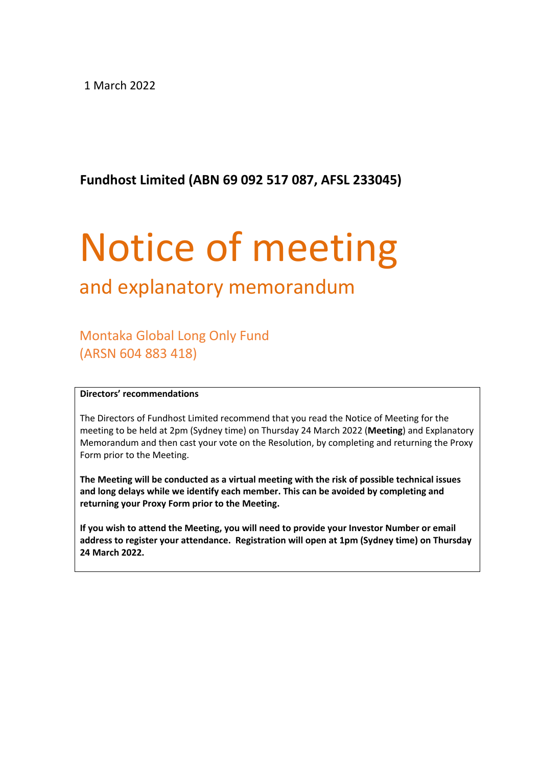1 March 2022

**Fundhost Limited (ABN 69 092 517 087, AFSL 233045)**

# Notice of meeting

# and explanatory memorandum

Montaka Global Long Only Fund (ARSN 604 883 418)

#### **Directors' recommendations**

The Directors of Fundhost Limited recommend that you read the Notice of Meeting for the meeting to be held at 2pm (Sydney time) on Thursday 24 March 2022 (**Meeting**) and Explanatory Memorandum and then cast your vote on the Resolution, by completing and returning the Proxy Form prior to the Meeting.

**The Meeting will be conducted as a virtual meeting with the risk of possible technical issues and long delays while we identify each member. This can be avoided by completing and returning your Proxy Form prior to the Meeting.**

**If you wish to attend the Meeting, you will need to provide your Investor Number or email address to register your attendance. Registration will open at 1pm (Sydney time) on Thursday 24 March 2022.**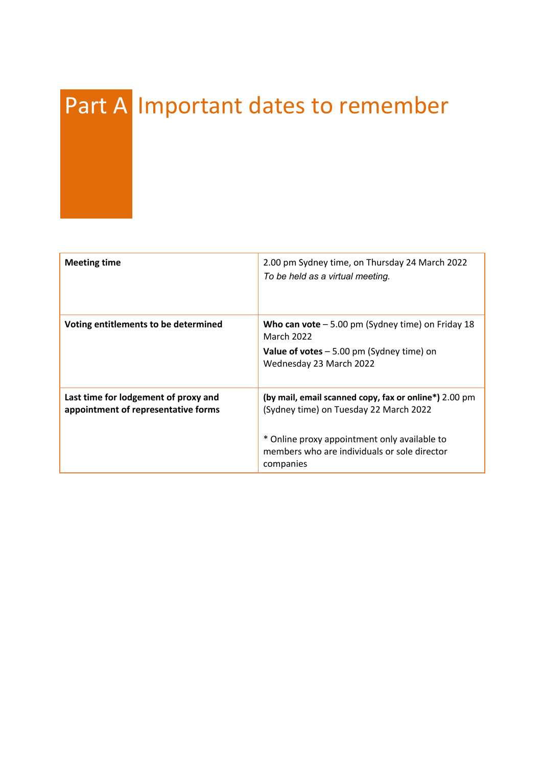# Part A Important dates to remember

| <b>Meeting time</b>                                                         | 2.00 pm Sydney time, on Thursday 24 March 2022<br>To be held as a virtual meeting.                                                                                                                           |
|-----------------------------------------------------------------------------|--------------------------------------------------------------------------------------------------------------------------------------------------------------------------------------------------------------|
| Voting entitlements to be determined                                        | Who can vote $-5.00$ pm (Sydney time) on Friday 18<br><b>March 2022</b><br><b>Value of votes</b> $-5.00$ pm (Sydney time) on<br>Wednesday 23 March 2022                                                      |
| Last time for lodgement of proxy and<br>appointment of representative forms | (by mail, email scanned copy, fax or online*) 2.00 pm<br>(Sydney time) on Tuesday 22 March 2022<br>* Online proxy appointment only available to<br>members who are individuals or sole director<br>companies |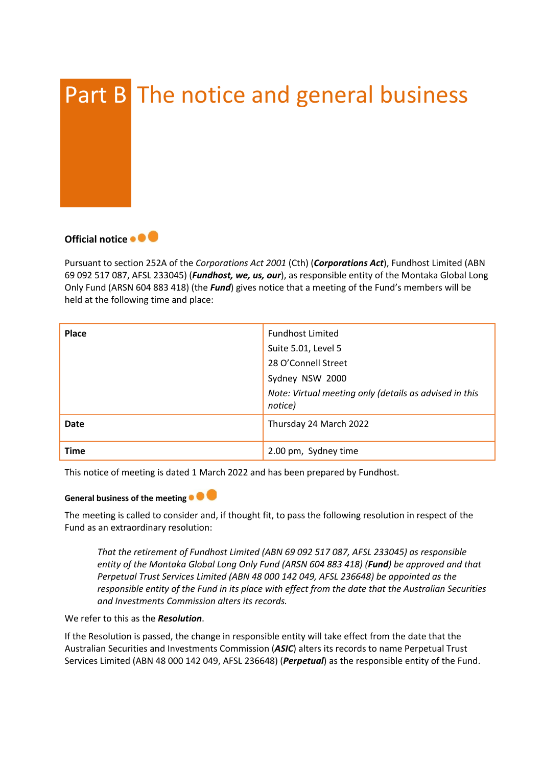



Pursuant to section 252A of the *Corporations Act 2001* (Cth) (*Corporations Act*), Fundhost Limited (ABN 69 092 517 087, AFSL 233045) (*Fundhost, we, us, our*), as responsible entity of the Montaka Global Long Only Fund (ARSN 604 883 418) (the *Fund*) gives notice that a meeting of the Fund's members will be held at the following time and place:

| <b>Place</b> | <b>Fundhost Limited</b><br>Suite 5.01, Level 5<br>28 O'Connell Street<br>Sydney NSW 2000<br>Note: Virtual meeting only (details as advised in this<br>notice) |
|--------------|---------------------------------------------------------------------------------------------------------------------------------------------------------------|
| Date         | Thursday 24 March 2022                                                                                                                                        |
| <b>Time</b>  | 2.00 pm, Sydney time                                                                                                                                          |

This notice of meeting is dated 1 March 2022 and has been prepared by Fundhost.

#### **General business of the meeting**

The meeting is called to consider and, if thought fit, to pass the following resolution in respect of the Fund as an extraordinary resolution:

*That the retirement of Fundhost Limited (ABN 69 092 517 087, AFSL 233045) as responsible entity of the Montaka Global Long Only Fund (ARSN 604 883 418) (Fund) be approved and that Perpetual Trust Services Limited (ABN 48 000 142 049, AFSL 236648) be appointed as the responsible entity of the Fund in its place with effect from the date that the Australian Securities and Investments Commission alters its records.* 

We refer to this as the *Resolution*.

If the Resolution is passed, the change in responsible entity will take effect from the date that the Australian Securities and Investments Commission (*ASIC*) alters its records to name Perpetual Trust Services Limited (ABN 48 000 142 049, AFSL 236648) (*Perpetual*) as the responsible entity of the Fund.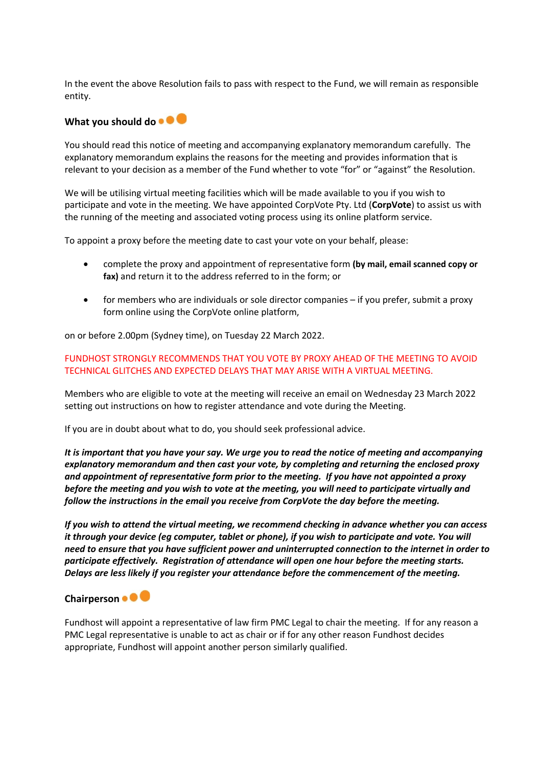In the event the above Resolution fails to pass with respect to the Fund, we will remain as responsible entity.

#### What you should do  $\bullet$   $\bullet$

You should read this notice of meeting and accompanying explanatory memorandum carefully. The explanatory memorandum explains the reasons for the meeting and provides information that is relevant to your decision as a member of the Fund whether to vote "for" or "against" the Resolution.

We will be utilising virtual meeting facilities which will be made available to you if you wish to participate and vote in the meeting. We have appointed CorpVote Pty. Ltd (**CorpVote**) to assist us with the running of the meeting and associated voting process using its online platform service.

To appoint a proxy before the meeting date to cast your vote on your behalf, please:

- complete the proxy and appointment of representative form **(by mail, email scanned copy or fax)** and return it to the address referred to in the form; or
- for members who are individuals or sole director companies if you prefer, submit a proxy form online using the CorpVote online platform,

on or before 2.00pm (Sydney time), on Tuesday 22 March 2022.

#### FUNDHOST STRONGLY RECOMMENDS THAT YOU VOTE BY PROXY AHEAD OF THE MEETING TO AVOID TECHNICAL GLITCHES AND EXPECTED DELAYS THAT MAY ARISE WITH A VIRTUAL MEETING.

Members who are eligible to vote at the meeting will receive an email on Wednesday 23 March 2022 setting out instructions on how to register attendance and vote during the Meeting.

If you are in doubt about what to do, you should seek professional advice.

*It is important that you have your say. We urge you to read the notice of meeting and accompanying explanatory memorandum and then cast your vote, by completing and returning the enclosed proxy and appointment of representative form prior to the meeting. If you have not appointed a proxy before the meeting and you wish to vote at the meeting, you will need to participate virtually and follow the instructions in the email you receive from CorpVote the day before the meeting.* 

*If you wish to attend the virtual meeting, we recommend checking in advance whether you can access it through your device (eg computer, tablet or phone), if you wish to participate and vote. You will need to ensure that you have sufficient power and uninterrupted connection to the internet in order to participate effectively. Registration of attendance will open one hour before the meeting starts. Delays are less likely if you register your attendance before the commencement of the meeting.*

#### **Chairperson**

Fundhost will appoint a representative of law firm PMC Legal to chair the meeting. If for any reason a PMC Legal representative is unable to act as chair or if for any other reason Fundhost decides appropriate, Fundhost will appoint another person similarly qualified.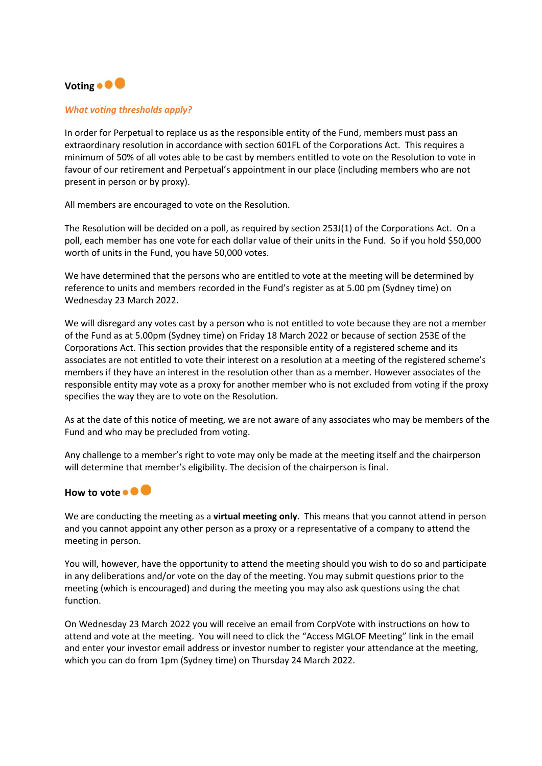## Voting **• • •**

#### *What voting thresholds apply?*

In order for Perpetual to replace us as the responsible entity of the Fund, members must pass an extraordinary resolution in accordance with section 601FL of the Corporations Act. This requires a minimum of 50% of all votes able to be cast by members entitled to vote on the Resolution to vote in favour of our retirement and Perpetual's appointment in our place (including members who are not present in person or by proxy).

All members are encouraged to vote on the Resolution.

The Resolution will be decided on a poll, as required by section 253J(1) of the Corporations Act. On a poll, each member has one vote for each dollar value of their units in the Fund. So if you hold \$50,000 worth of units in the Fund, you have 50,000 votes.

We have determined that the persons who are entitled to vote at the meeting will be determined by reference to units and members recorded in the Fund's register as at 5.00 pm (Sydney time) on Wednesday 23 March 2022.

We will disregard any votes cast by a person who is not entitled to vote because they are not a member of the Fund as at 5.00pm (Sydney time) on Friday 18 March 2022 or because of section 253E of the Corporations Act. This section provides that the responsible entity of a registered scheme and its associates are not entitled to vote their interest on a resolution at a meeting of the registered scheme's members if they have an interest in the resolution other than as a member. However associates of the responsible entity may vote as a proxy for another member who is not excluded from voting if the proxy specifies the way they are to vote on the Resolution.

As at the date of this notice of meeting, we are not aware of any associates who may be members of the Fund and who may be precluded from voting.

Any challenge to a member's right to vote may only be made at the meeting itself and the chairperson will determine that member's eligibility. The decision of the chairperson is final.

#### How to vote **. .**

We are conducting the meeting as a **virtual meeting only**. This means that you cannot attend in person and you cannot appoint any other person as a proxy or a representative of a company to attend the meeting in person.

You will, however, have the opportunity to attend the meeting should you wish to do so and participate in any deliberations and/or vote on the day of the meeting. You may submit questions prior to the meeting (which is encouraged) and during the meeting you may also ask questions using the chat function.

On Wednesday 23 March 2022 you will receive an email from CorpVote with instructions on how to attend and vote at the meeting. You will need to click the "Access MGLOF Meeting" link in the email and enter your investor email address or investor number to register your attendance at the meeting, which you can do from 1pm (Sydney time) on Thursday 24 March 2022.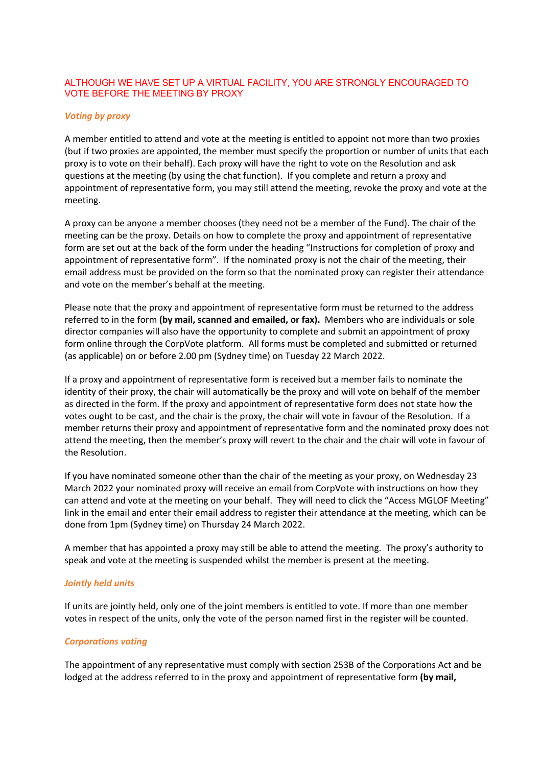#### ALTHOUGH WE HAVE SET UP A VIRTUAL FACILITY, YOU ARE STRONGLY ENCOURAGED TO VOTE BEFORE THE MEETING BY PROXY

#### *Voting by proxy*

A member entitled to attend and vote at the meeting is entitled to appoint not more than two proxies (but if two proxies are appointed, the member must specify the proportion or number of units that each proxy is to vote on their behalf). Each proxy will have the right to vote on the Resolution and ask questions at the meeting (by using the chat function). If you complete and return a proxy and appointment of representative form, you may still attend the meeting, revoke the proxy and vote at the meeting.

A proxy can be anyone a member chooses (they need not be a member of the Fund). The chair of the meeting can be the proxy. Details on how to complete the proxy and appointment of representative form are set out at the back of the form under the heading "Instructions for completion of proxy and appointment of representative form". If the nominated proxy is not the chair of the meeting, their email address must be provided on the form so that the nominated proxy can register their attendance and vote on the member's behalf at the meeting.

Please note that the proxy and appointment of representative form must be returned to the address referred to in the form **(by mail, scanned and emailed, or fax).** Members who are individuals or sole director companies will also have the opportunity to complete and submit an appointment of proxy form online through the CorpVote platform. All forms must be completed and submitted or returned (as applicable) on or before 2.00 pm (Sydney time) on Tuesday 22 March 2022.

If a proxy and appointment of representative form is received but a member fails to nominate the identity of their proxy, the chair will automatically be the proxy and will vote on behalf of the member as directed in the form. If the proxy and appointment of representative form does not state how the votes ought to be cast, and the chair is the proxy, the chair will vote in favour of the Resolution. If a member returns their proxy and appointment of representative form and the nominated proxy does not attend the meeting, then the member's proxy will revert to the chair and the chair will vote in favour of the Resolution.

If you have nominated someone other than the chair of the meeting as your proxy, on Wednesday 23 March 2022 your nominated proxy will receive an email from CorpVote with instructions on how they can attend and vote at the meeting on your behalf. They will need to click the "Access MGLOF Meeting" link in the email and enter their email address to register their attendance at the meeting, which can be done from 1pm (Sydney time) on Thursday 24 March 2022.

A member that has appointed a proxy may still be able to attend the meeting. The proxy's authority to speak and vote at the meeting is suspended whilst the member is present at the meeting.

#### *Jointly held units*

If units are jointly held, only one of the joint members is entitled to vote. If more than one member votes in respect of the units, only the vote of the person named first in the register will be counted.

#### *Corporations voting*

The appointment of any representative must comply with section 253B of the Corporations Act and be lodged at the address referred to in the proxy and appointment of representative form **(by mail,**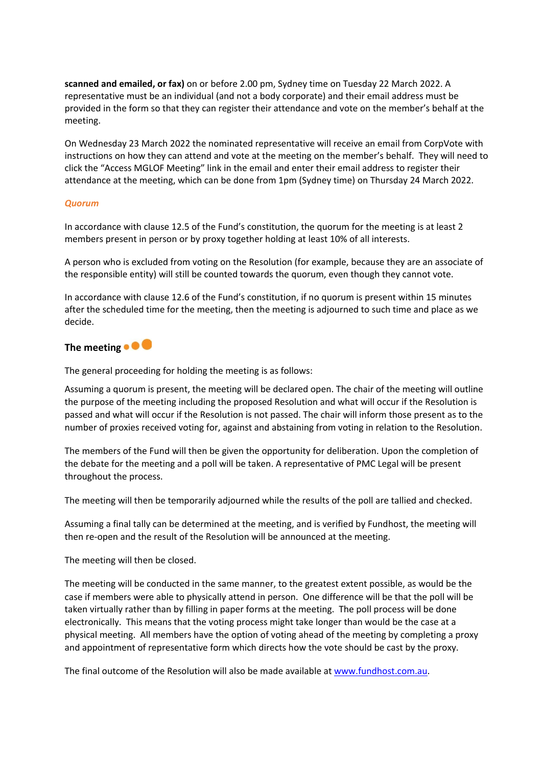**scanned and emailed, or fax)** on or before 2.00 pm, Sydney time on Tuesday 22 March 2022. A representative must be an individual (and not a body corporate) and their email address must be provided in the form so that they can register their attendance and vote on the member's behalf at the meeting.

On Wednesday 23 March 2022 the nominated representative will receive an email from CorpVote with instructions on how they can attend and vote at the meeting on the member's behalf. They will need to click the "Access MGLOF Meeting" link in the email and enter their email address to register their attendance at the meeting, which can be done from 1pm (Sydney time) on Thursday 24 March 2022.

#### *Quorum*

In accordance with clause 12.5 of the Fund's constitution, the quorum for the meeting is at least 2 members present in person or by proxy together holding at least 10% of all interests.

A person who is excluded from voting on the Resolution (for example, because they are an associate of the responsible entity) will still be counted towards the quorum, even though they cannot vote.

In accordance with clause 12.6 of the Fund's constitution, if no quorum is present within 15 minutes after the scheduled time for the meeting, then the meeting is adjourned to such time and place as we decide.

#### **The meeting**

The general proceeding for holding the meeting is as follows:

Assuming a quorum is present, the meeting will be declared open. The chair of the meeting will outline the purpose of the meeting including the proposed Resolution and what will occur if the Resolution is passed and what will occur if the Resolution is not passed. The chair will inform those present as to the number of proxies received voting for, against and abstaining from voting in relation to the Resolution.

The members of the Fund will then be given the opportunity for deliberation. Upon the completion of the debate for the meeting and a poll will be taken. A representative of PMC Legal will be present throughout the process.

The meeting will then be temporarily adjourned while the results of the poll are tallied and checked.

Assuming a final tally can be determined at the meeting, and is verified by Fundhost, the meeting will then re-open and the result of the Resolution will be announced at the meeting.

The meeting will then be closed.

The meeting will be conducted in the same manner, to the greatest extent possible, as would be the case if members were able to physically attend in person. One difference will be that the poll will be taken virtually rather than by filling in paper forms at the meeting. The poll process will be done electronically. This means that the voting process might take longer than would be the case at a physical meeting. All members have the option of voting ahead of the meeting by completing a proxy and appointment of representative form which directs how the vote should be cast by the proxy.

The final outcome of the Resolution will also be made available at www.fundhost.com.au.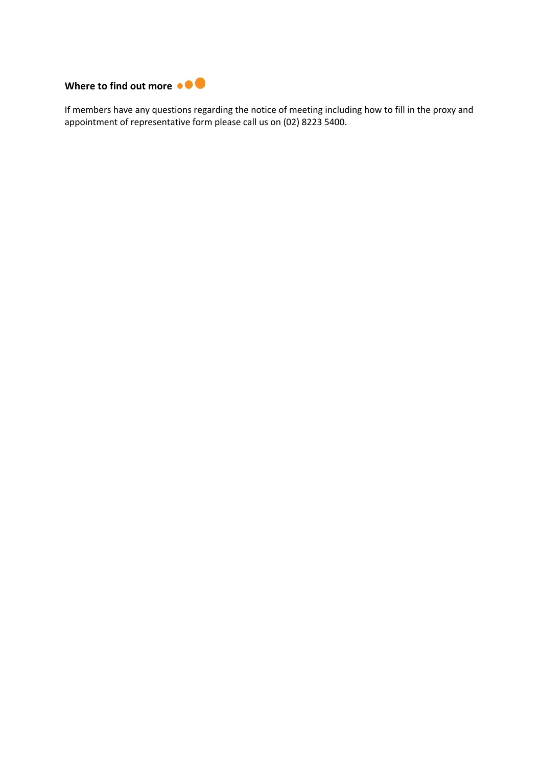

If members have any questions regarding the notice of meeting including how to fill in the proxy and appointment of representative form please call us on (02) 8223 5400.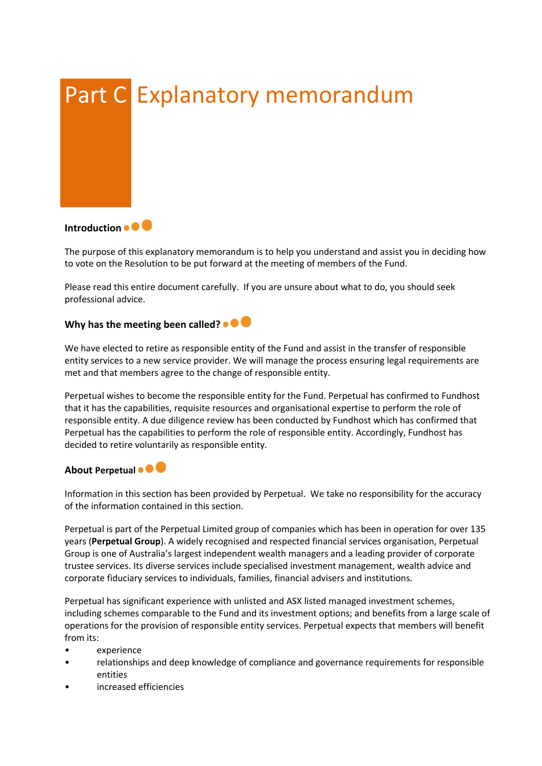

**Introduction <b>a C** 

The purpose of this explanatory memorandum is to help you understand and assist you in deciding how to vote on the Resolution to be put forward at the meeting of members of the Fund.

Please read this entire document carefully. If you are unsure about what to do, you should seek professional advice.

#### **Why has the meeting been called?**

We have elected to retire as responsible entity of the Fund and assist in the transfer of responsible entity services to a new service provider. We will manage the process ensuring legal requirements are met and that members agree to the change of responsible entity.

Perpetual wishes to become the responsible entity for the Fund. Perpetual has confirmed to Fundhost that it has the capabilities, requisite resources and organisational expertise to perform the role of responsible entity. A due diligence review has been conducted by Fundhost which has confirmed that Perpetual has the capabilities to perform the role of responsible entity. Accordingly, Fundhost has decided to retire voluntarily as responsible entity.

#### **About Perpetual • • •**

Information in this section has been provided by Perpetual. We take no responsibility for the accuracy of the information contained in this section.

Perpetual is part of the Perpetual Limited group of companies which has been in operation for over 135 years (**Perpetual Group**). A widely recognised and respected financial services organisation, Perpetual Group is one of Australia's largest independent wealth managers and a leading provider of corporate trustee services. Its diverse services include specialised investment management, wealth advice and corporate fiduciary services to individuals, families, financial advisers and institutions.

Perpetual has significant experience with unlisted and ASX listed managed investment schemes, including schemes comparable to the Fund and its investment options; and benefits from a large scale of operations for the provision of responsible entity services. Perpetual expects that members will benefit from its:

- experience
- relationships and deep knowledge of compliance and governance requirements for responsible entities
- increased efficiencies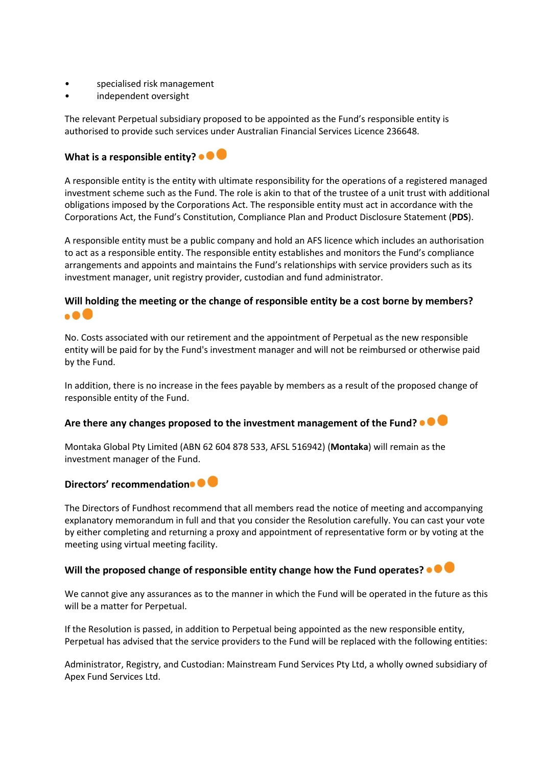- specialised risk management
- independent oversight

The relevant Perpetual subsidiary proposed to be appointed as the Fund's responsible entity is authorised to provide such services under Australian Financial Services Licence 236648.

#### What is a responsible entity?  $\bullet \bullet$

A responsible entity is the entity with ultimate responsibility for the operations of a registered managed investment scheme such as the Fund. The role is akin to that of the trustee of a unit trust with additional obligations imposed by the Corporations Act. The responsible entity must act in accordance with the Corporations Act, the Fund's Constitution, Compliance Plan and Product Disclosure Statement (**PDS**).

A responsible entity must be a public company and hold an AFS licence which includes an authorisation to act as a responsible entity. The responsible entity establishes and monitors the Fund's compliance arrangements and appoints and maintains the Fund's relationships with service providers such as its investment manager, unit registry provider, custodian and fund administrator.

#### **Will holding the meeting or the change of responsible entity be a cost borne by members?**  $\bullet$   $\bullet$

No. Costs associated with our retirement and the appointment of Perpetual as the new responsible entity will be paid for by the Fund's investment manager and will not be reimbursed or otherwise paid by the Fund.

In addition, there is no increase in the fees payable by members as a result of the proposed change of responsible entity of the Fund.

#### **Are there any changes proposed to the investment management of the Fund?**

Montaka Global Pty Limited (ABN 62 604 878 533, AFSL 516942) (**Montaka**) will remain as the investment manager of the Fund.

#### Directors' recommendation<sup>o</sup>

The Directors of Fundhost recommend that all members read the notice of meeting and accompanying explanatory memorandum in full and that you consider the Resolution carefully. You can cast your vote by either completing and returning a proxy and appointment of representative form or by voting at the meeting using virtual meeting facility.

#### **Will the proposed change of responsible entity change how the Fund operates?**

We cannot give any assurances as to the manner in which the Fund will be operated in the future as this will be a matter for Perpetual.

If the Resolution is passed, in addition to Perpetual being appointed as the new responsible entity, Perpetual has advised that the service providers to the Fund will be replaced with the following entities:

Administrator, Registry, and Custodian: Mainstream Fund Services Pty Ltd, a wholly owned subsidiary of Apex Fund Services Ltd.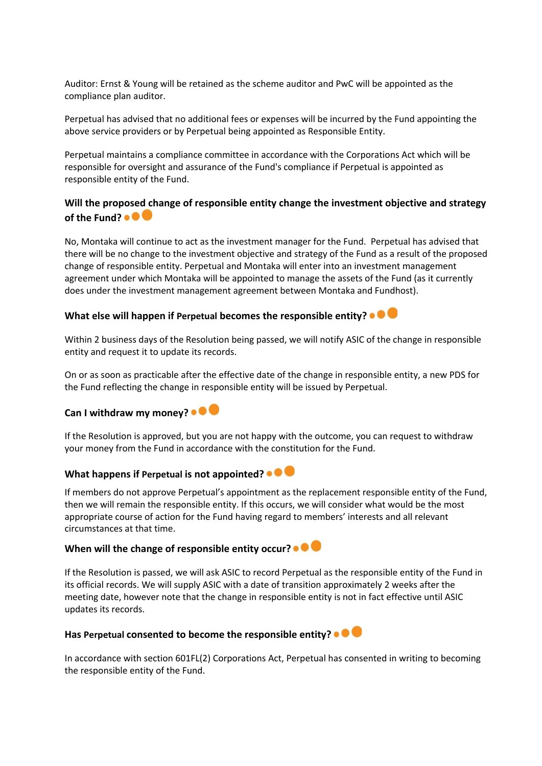Auditor: Ernst & Young will be retained as the scheme auditor and PwC will be appointed as the compliance plan auditor.

Perpetual has advised that no additional fees or expenses will be incurred by the Fund appointing the above service providers or by Perpetual being appointed as Responsible Entity.

Perpetual maintains a compliance committee in accordance with the Corporations Act which will be responsible for oversight and assurance of the Fund's compliance if Perpetual is appointed as responsible entity of the Fund.

#### **Will the proposed change of responsible entity change the investment objective and strategy of the Fund?**

No, Montaka will continue to act as the investment manager for the Fund. Perpetual has advised that there will be no change to the investment objective and strategy of the Fund as a result of the proposed change of responsible entity. Perpetual and Montaka will enter into an investment management agreement under which Montaka will be appointed to manage the assets of the Fund (as it currently does under the investment management agreement between Montaka and Fundhost).

#### **What else will happen if Perpetual becomes the responsible entity?**

Within 2 business days of the Resolution being passed, we will notify ASIC of the change in responsible entity and request it to update its records.

On or as soon as practicable after the effective date of the change in responsible entity, a new PDS for the Fund reflecting the change in responsible entity will be issued by Perpetual.

#### **Can I withdraw my money?**

If the Resolution is approved, but you are not happy with the outcome, you can request to withdraw your money from the Fund in accordance with the constitution for the Fund.

#### **What happens if Perpetual is not appointed?**

If members do not approve Perpetual's appointment as the replacement responsible entity of the Fund, then we will remain the responsible entity. If this occurs, we will consider what would be the most appropriate course of action for the Fund having regard to members' interests and all relevant circumstances at that time.

### When will the change of responsible entity occur? • <sup>•</sup>

If the Resolution is passed, we will ask ASIC to record Perpetual as the responsible entity of the Fund in its official records. We will supply ASIC with a date of transition approximately 2 weeks after the meeting date, however note that the change in responsible entity is not in fact effective until ASIC updates its records.

#### **Has Perpetual consented to become the responsible entity?**

In accordance with section 601FL(2) Corporations Act, Perpetual has consented in writing to becoming the responsible entity of the Fund.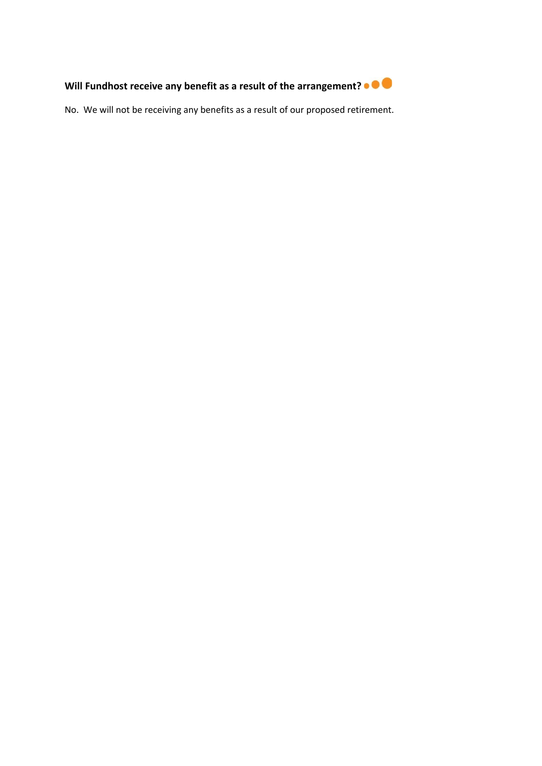

No. We will not be receiving any benefits as a result of our proposed retirement.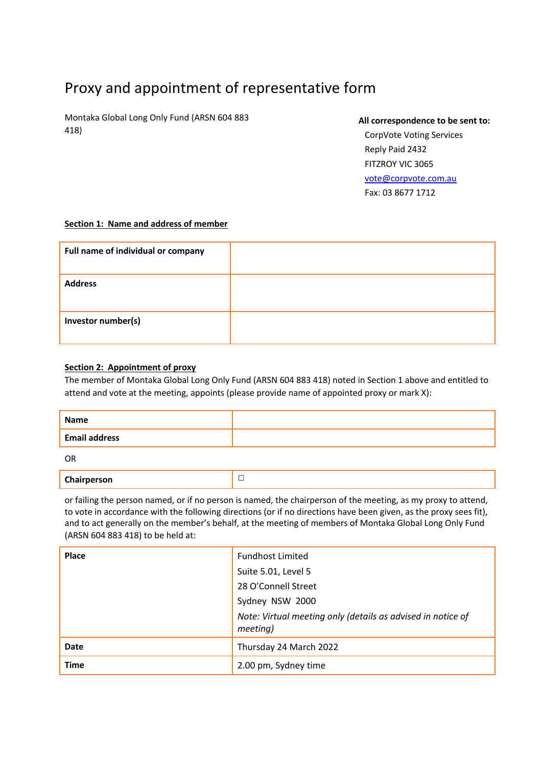# Proxy and appointment of representative form

Montaka Global Long Only Fund (ARSN 604 883 418)

#### **All correspondence to be sent to:**

CorpVote Voting Services Reply Paid 2432 FITZROY VIC 3065 vote@corpvote.com.au Fax: 03 8677 1712

#### **Section 1: Name and address of member**

| Full name of individual or company |  |
|------------------------------------|--|
| <b>Address</b>                     |  |
| Investor number(s)                 |  |

#### **Section 2: Appointment of proxy**

The member of Montaka Global Long Only Fund (ARSN 604 883 418) noted in Section 1 above and entitled to attend and vote at the meeting, appoints (please provide name of appointed proxy or mark X):

| Name                 |  |
|----------------------|--|
| <b>Email address</b> |  |
|                      |  |

OR

|--|

or failing the person named, or if no person is named, the chairperson of the meeting, as my proxy to attend, to vote in accordance with the following directions (or if no directions have been given, as the proxy sees fit), and to act generally on the member's behalf, at the meeting of members of Montaka Global Long Only Fund (ARSN 604 883 418) to be held at:

| <b>Place</b> | <b>Fundhost Limited</b>                                                 |
|--------------|-------------------------------------------------------------------------|
|              | Suite 5.01, Level 5                                                     |
|              | 28 O'Connell Street                                                     |
|              | Sydney NSW 2000                                                         |
|              | Note: Virtual meeting only (details as advised in notice of<br>meeting) |
| Date         | Thursday 24 March 2022                                                  |
| <b>Time</b>  | 2.00 pm, Sydney time                                                    |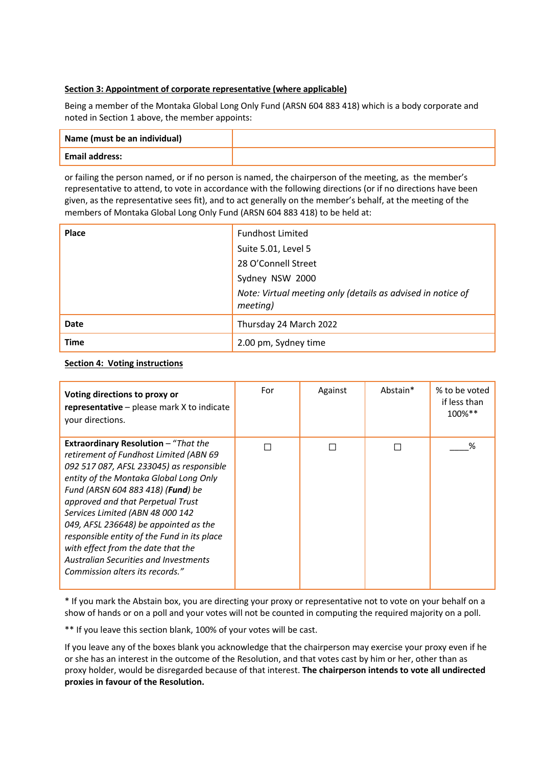#### **Section 3: Appointment of corporate representative (where applicable)**

Being a member of the Montaka Global Long Only Fund (ARSN 604 883 418) which is a body corporate and noted in Section 1 above, the member appoints:

| Name (must be an individual) |  |
|------------------------------|--|
| <b>Email address:</b>        |  |

or failing the person named, or if no person is named, the chairperson of the meeting, as the member's representative to attend, to vote in accordance with the following directions (or if no directions have been given, as the representative sees fit), and to act generally on the member's behalf, at the meeting of the members of Montaka Global Long Only Fund (ARSN 604 883 418) to be held at:

| <b>Place</b> | <b>Fundhost Limited</b>                                                 |
|--------------|-------------------------------------------------------------------------|
|              | Suite 5.01, Level 5                                                     |
|              | 28 O'Connell Street                                                     |
|              | Sydney NSW 2000                                                         |
|              | Note: Virtual meeting only (details as advised in notice of<br>meeting) |
| Date         | Thursday 24 March 2022                                                  |
| <b>Time</b>  | 2.00 pm, Sydney time                                                    |

#### **Section 4: Voting instructions**

| Voting directions to proxy or<br><b>representative</b> $-$ please mark $X$ to indicate<br>your directions.                                                                                                                                                                                                                                                                                                                                                                                                          | For | Against | Abstain* | % to be voted<br>if less than<br>$100\%$ ** |
|---------------------------------------------------------------------------------------------------------------------------------------------------------------------------------------------------------------------------------------------------------------------------------------------------------------------------------------------------------------------------------------------------------------------------------------------------------------------------------------------------------------------|-----|---------|----------|---------------------------------------------|
| <b>Extraordinary Resolution</b> - "That the<br>retirement of Fundhost Limited (ABN 69<br>092 517 087, AFSL 233045) as responsible<br>entity of the Montaka Global Long Only<br>Fund (ARSN 604 883 418) ( <b>Fund</b> ) be<br>approved and that Perpetual Trust<br>Services Limited (ABN 48 000 142<br>049, AFSL 236648) be appointed as the<br>responsible entity of the Fund in its place<br>with effect from the date that the<br><b>Australian Securities and Investments</b><br>Commission alters its records." |     |         |          | ℅                                           |

\* If you mark the Abstain box, you are directing your proxy or representative not to vote on your behalf on a show of hands or on a poll and your votes will not be counted in computing the required majority on a poll.

\*\* If you leave this section blank, 100% of your votes will be cast.

If you leave any of the boxes blank you acknowledge that the chairperson may exercise your proxy even if he or she has an interest in the outcome of the Resolution, and that votes cast by him or her, other than as proxy holder, would be disregarded because of that interest. **The chairperson intends to vote all undirected proxies in favour of the Resolution.**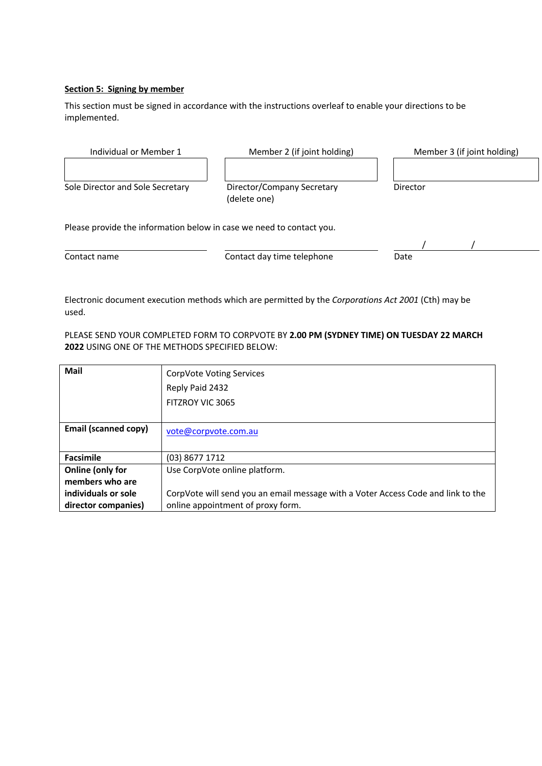#### **Section 5: Signing by member**

This section must be signed in accordance with the instructions overleaf to enable your directions to be implemented.

| Individual or Member 1                                               | Member 2 (if joint holding)                | Member 3 (if joint holding) |  |  |
|----------------------------------------------------------------------|--------------------------------------------|-----------------------------|--|--|
| Sole Director and Sole Secretary                                     | Director/Company Secretary<br>(delete one) | Director                    |  |  |
| Please provide the information below in case we need to contact you. |                                            |                             |  |  |
|                                                                      |                                            |                             |  |  |
| Contact name                                                         | Contact day time telephone                 | Date                        |  |  |

Electronic document execution methods which are permitted by the *Corporations Act 2001* (Cth) may be used.

PLEASE SEND YOUR COMPLETED FORM TO CORPVOTE BY **2.00 PM (SYDNEY TIME) ON TUESDAY 22 MARCH 2022** USING ONE OF THE METHODS SPECIFIED BELOW:

| Mail                        | CorpVote Voting Services                                                         |
|-----------------------------|----------------------------------------------------------------------------------|
|                             | Reply Paid 2432                                                                  |
|                             | FITZROY VIC 3065                                                                 |
|                             |                                                                                  |
| <b>Email (scanned copy)</b> | vote@corpvote.com.au                                                             |
|                             |                                                                                  |
| <b>Facsimile</b>            | (03) 8677 1712                                                                   |
| Online (only for            | Use CorpVote online platform.                                                    |
| members who are             |                                                                                  |
| individuals or sole         | CorpVote will send you an email message with a Voter Access Code and link to the |
| director companies)         | online appointment of proxy form.                                                |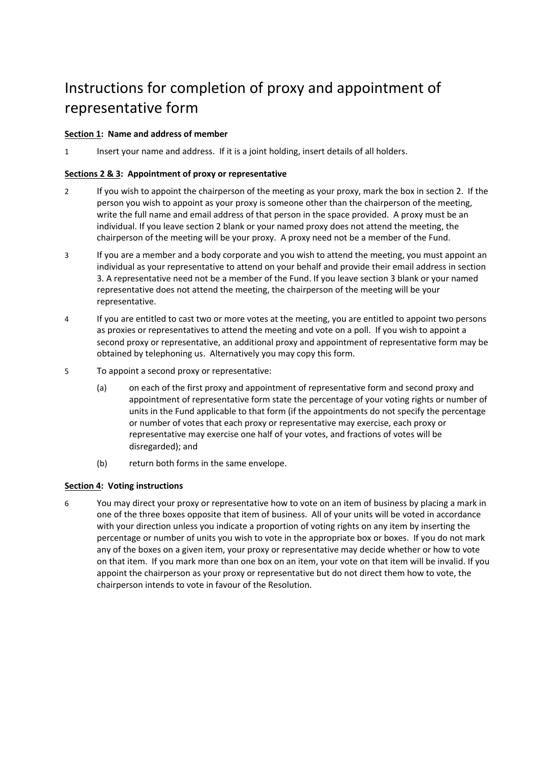# Instructions for completion of proxy and appointment of representative form

#### **Section 1: Name and address of member**

1 Insert your name and address. If it is a joint holding, insert details of all holders.

#### **Sections 2 & 3: Appointment of proxy or representative**

- 2 If you wish to appoint the chairperson of the meeting as your proxy, mark the box in section 2. If the person you wish to appoint as your proxy is someone other than the chairperson of the meeting, write the full name and email address of that person in the space provided. A proxy must be an individual. If you leave section 2 blank or your named proxy does not attend the meeting, the chairperson of the meeting will be your proxy. A proxy need not be a member of the Fund.
- 3 If you are a member and a body corporate and you wish to attend the meeting, you must appoint an individual as your representative to attend on your behalf and provide their email address in section 3. A representative need not be a member of the Fund. If you leave section 3 blank or your named representative does not attend the meeting, the chairperson of the meeting will be your representative.
- 4 If you are entitled to cast two or more votes at the meeting, you are entitled to appoint two persons as proxies or representatives to attend the meeting and vote on a poll. If you wish to appoint a second proxy or representative, an additional proxy and appointment of representative form may be obtained by telephoning us. Alternatively you may copy this form.
- 5 To appoint a second proxy or representative:
	- (a) on each of the first proxy and appointment of representative form and second proxy and appointment of representative form state the percentage of your voting rights or number of units in the Fund applicable to that form (if the appointments do not specify the percentage or number of votes that each proxy or representative may exercise, each proxy or representative may exercise one half of your votes, and fractions of votes will be disregarded); and
	- (b) return both forms in the same envelope.

#### **Section 4: Voting instructions**

6 You may direct your proxy or representative how to vote on an item of business by placing a mark in one of the three boxes opposite that item of business. All of your units will be voted in accordance with your direction unless you indicate a proportion of voting rights on any item by inserting the percentage or number of units you wish to vote in the appropriate box or boxes. If you do not mark any of the boxes on a given item, your proxy or representative may decide whether or how to vote on that item. If you mark more than one box on an item, your vote on that item will be invalid. If you appoint the chairperson as your proxy or representative but do not direct them how to vote, the chairperson intends to vote in favour of the Resolution.